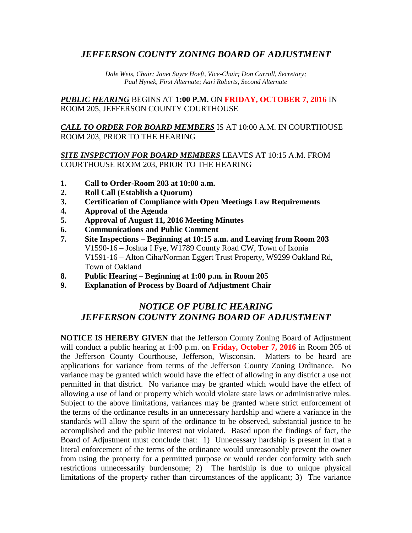## *JEFFERSON COUNTY ZONING BOARD OF ADJUSTMENT*

*Dale Weis, Chair; Janet Sayre Hoeft, Vice-Chair; Don Carroll, Secretary; Paul Hynek, First Alternate; Aari Roberts, Second Alternate*

*PUBLIC HEARING* BEGINS AT **1:00 P.M.** ON **FRIDAY, OCTOBER 7, 2016** IN ROOM 205, JEFFERSON COUNTY COURTHOUSE

*CALL TO ORDER FOR BOARD MEMBERS* IS AT 10:00 A.M. IN COURTHOUSE ROOM 203, PRIOR TO THE HEARING

## *SITE INSPECTION FOR BOARD MEMBERS* LEAVES AT 10:15 A.M. FROM COURTHOUSE ROOM 203, PRIOR TO THE HEARING

- **1. Call to Order-Room 203 at 10:00 a.m.**
- **2. Roll Call (Establish a Quorum)**
- **3. Certification of Compliance with Open Meetings Law Requirements**
- **4. Approval of the Agenda**
- **5. Approval of August 11, 2016 Meeting Minutes**
- **6. Communications and Public Comment**
- **7. Site Inspections – Beginning at 10:15 a.m. and Leaving from Room 203** V1590-16 – Joshua I Fye, W1789 County Road CW, Town of Ixonia V1591-16 – Alton Ciha/Norman Eggert Trust Property, W9299 Oakland Rd, Town of Oakland
- **8. Public Hearing – Beginning at 1:00 p.m. in Room 205**
- **9. Explanation of Process by Board of Adjustment Chair**

## *NOTICE OF PUBLIC HEARING JEFFERSON COUNTY ZONING BOARD OF ADJUSTMENT*

**NOTICE IS HEREBY GIVEN** that the Jefferson County Zoning Board of Adjustment will conduct a public hearing at 1:00 p.m. on **Friday, October 7, 2016** in Room 205 of the Jefferson County Courthouse, Jefferson, Wisconsin. Matters to be heard are applications for variance from terms of the Jefferson County Zoning Ordinance. No variance may be granted which would have the effect of allowing in any district a use not permitted in that district. No variance may be granted which would have the effect of allowing a use of land or property which would violate state laws or administrative rules. Subject to the above limitations, variances may be granted where strict enforcement of the terms of the ordinance results in an unnecessary hardship and where a variance in the standards will allow the spirit of the ordinance to be observed, substantial justice to be accomplished and the public interest not violated. Based upon the findings of fact, the Board of Adjustment must conclude that: 1) Unnecessary hardship is present in that a literal enforcement of the terms of the ordinance would unreasonably prevent the owner from using the property for a permitted purpose or would render conformity with such restrictions unnecessarily burdensome; 2) The hardship is due to unique physical limitations of the property rather than circumstances of the applicant; 3) The variance